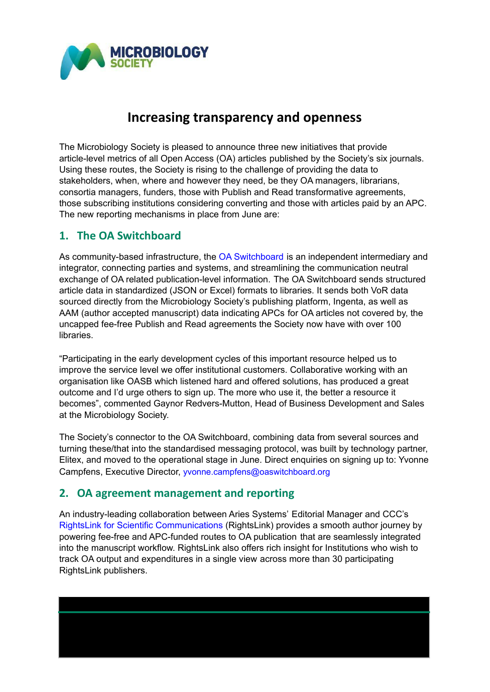

## **Increasing transparency and openness**

The Microbiology Society is pleased to announce three new initiatives that provide article-level metrics of all Open Access (OA) articles published by the Society's six journals. Using these routes, the Society is rising to the challenge of providing the data to stakeholders, when, where and however they need, be they OA managers, librarians, consortia managers, funders, those with Publish and Read transformative agreements, those subscribing institutions considering converting and those with articles paid by an APC. The new reporting mechanisms in place from June are:

## **1. The OA Switchboard**

As community-based infrastructure, the OA [Switchboard](https://www.oaswitchboard.org/) is an independent intermediary and integrator, connecting parties and systems, and streamlining the communication neutral exchange of OA related publication-level information. The OA Switchboard sends structured article data in standardized (JSON or Excel) formats to libraries. It sends both VoR data sourced directly from the Microbiology Society's publishing platform, Ingenta, as well as AAM (author accepted manuscript) data indicating APCs for OA articles not covered by, the uncapped fee-free Publish and Read agreements the Society now have with over 100 libraries.

"Participating in the early development cycles of this important resource helped us to improve the service level we offer institutional customers. Collaborative working with an organisation like OASB which listened hard and offered solutions, has produced a great outcome and I'd urge others to sign up. The more who use it, the better a resource it becomes", commented Gaynor Redvers-Mutton, Head of Business Development and Sales at the Microbiology Society.

The Society's connector to the OA Switchboard, combining data from several sources and turning these/that into the standardised messaging protocol, was built by technology partner, Elitex, and moved to the operational stage in June. Direct enquiries on signing up to: Yvonne Campfens, Executive Director, [yvonne.campfens@oaswitchboard.org](mailto:yvonne.campfens@oaswitchboard.org)

## **2. OA agreement management and reporting**

An industry-leading collaboration between Aries Systems' Editorial Manager and CCC's RightsLink for Scientific [Communications](https://www.copyright.com/publishers/rightslink-scientific/) (RightsLink) provides a smooth author journey by powering fee-free and APC-funded routes to OA publication that are seamlessly integrated into the manuscript workflow. RightsLink also offers rich insight for Institutions who wish to track OA output and expenditures in a single view across more than 30 participating RightsLink publishers.